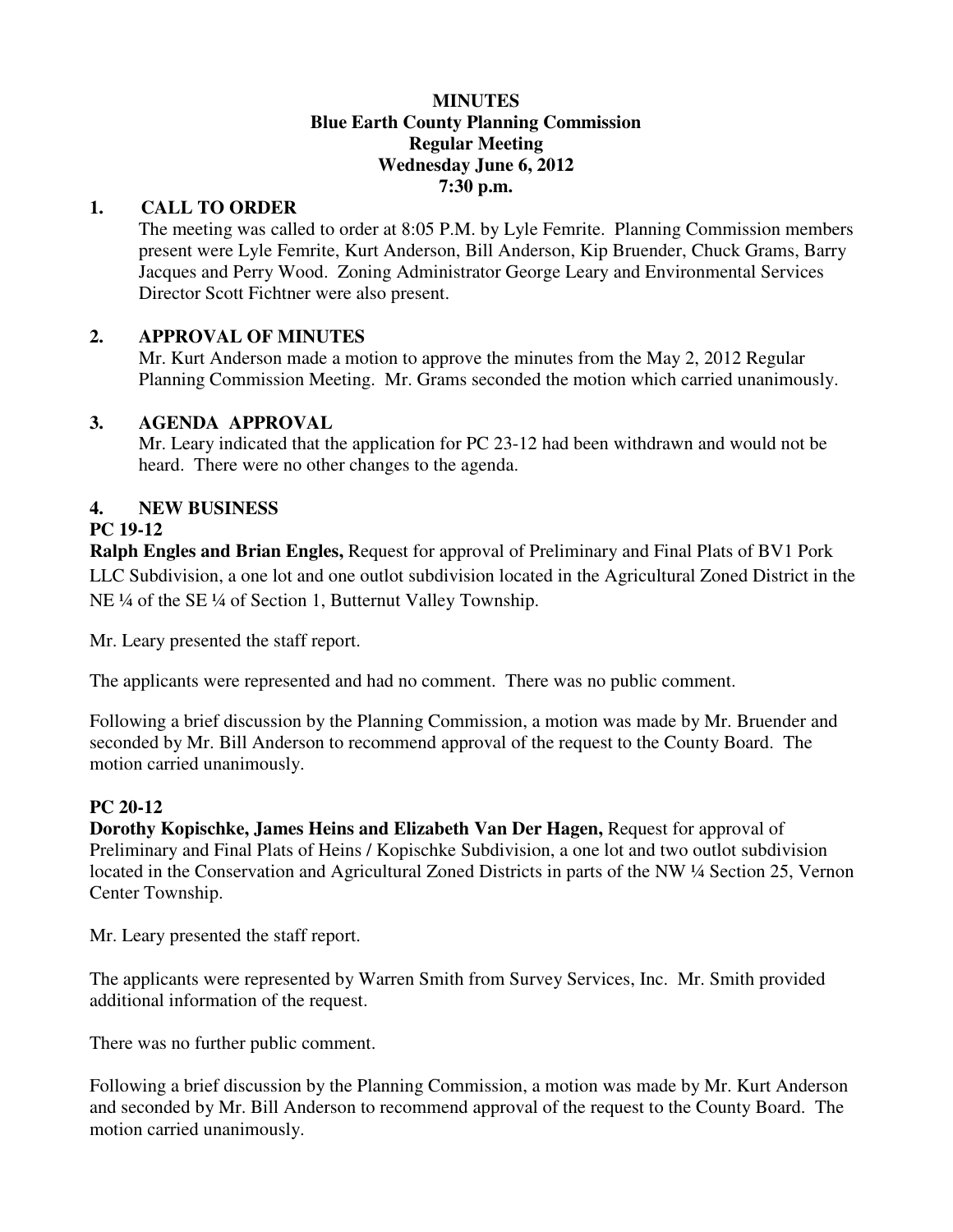#### **MINUTES Blue Earth County Planning Commission Regular Meeting Wednesday June 6, 2012 7:30 p.m.**

#### **1. CALL TO ORDER**

The meeting was called to order at 8:05 P.M. by Lyle Femrite. Planning Commission members present were Lyle Femrite, Kurt Anderson, Bill Anderson, Kip Bruender, Chuck Grams, Barry Jacques and Perry Wood. Zoning Administrator George Leary and Environmental Services Director Scott Fichtner were also present.

## **2. APPROVAL OF MINUTES**

Mr. Kurt Anderson made a motion to approve the minutes from the May 2, 2012 Regular Planning Commission Meeting. Mr. Grams seconded the motion which carried unanimously.

#### **3. AGENDA APPROVAL**

 Mr. Leary indicated that the application for PC 23-12 had been withdrawn and would not be heard. There were no other changes to the agenda.

## **4. NEW BUSINESS**

## **PC 19-12**

**Ralph Engles and Brian Engles,** Request for approval of Preliminary and Final Plats of BV1 Pork LLC Subdivision, a one lot and one outlot subdivision located in the Agricultural Zoned District in the NE ¼ of the SE ¼ of Section 1, Butternut Valley Township.

Mr. Leary presented the staff report.

The applicants were represented and had no comment. There was no public comment.

Following a brief discussion by the Planning Commission, a motion was made by Mr. Bruender and seconded by Mr. Bill Anderson to recommend approval of the request to the County Board. The motion carried unanimously.

## **PC 20-12**

**Dorothy Kopischke, James Heins and Elizabeth Van Der Hagen,** Request for approval of Preliminary and Final Plats of Heins / Kopischke Subdivision, a one lot and two outlot subdivision located in the Conservation and Agricultural Zoned Districts in parts of the NW ¼ Section 25, Vernon Center Township.

Mr. Leary presented the staff report.

The applicants were represented by Warren Smith from Survey Services, Inc. Mr. Smith provided additional information of the request.

There was no further public comment.

Following a brief discussion by the Planning Commission, a motion was made by Mr. Kurt Anderson and seconded by Mr. Bill Anderson to recommend approval of the request to the County Board. The motion carried unanimously.